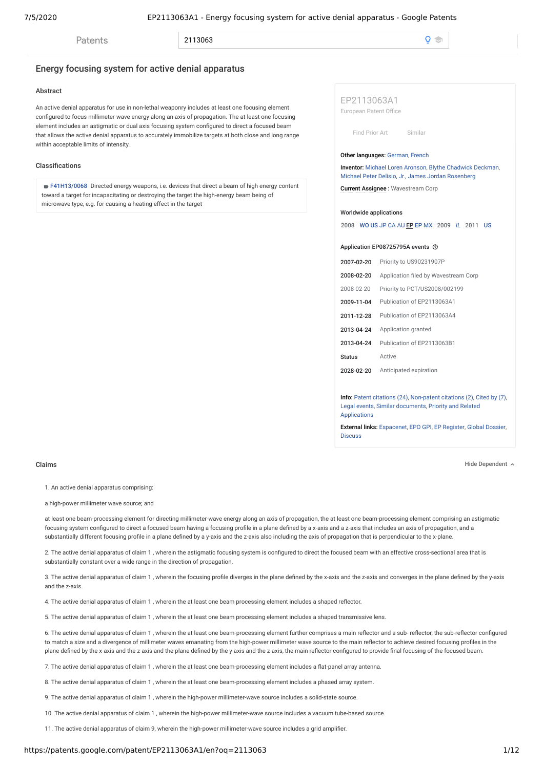**Patents** 

2113063

 $\Omega$  $\triangle$ 

# Energy focusing system for active denial apparatus

## **Abstract**

An active denial apparatus for use in non-lethal weaponry includes at least one focusing element configured to focus millimeter-wave energy along an axis of propagation. The at least one focusing element includes an astigmatic or dual axis focusing system configured to direct a focused beam that allows the active denial apparatus to accurately immobilize targets at both close and long range within acceptable limits of intensity.

### Classifications

■ F41H13/0068 Directed energy weapons, i.e. devices that direct a beam of high energy content toward a target for incapacitating or destroying the target the high-energy beam being of microwave type, e.g. for causing a heating effect in the target

EP2113063A1 European Patent Office

Find Prior Art [Similar](https://patents.google.com/?q=~patent%2fEP2113063A1)

#### Other languages: German, French

**Inventor:** [Michael Loren Aronson,](https://patents.google.com/?inventor=Michael+Loren+Aronson) Blythe Chadwick Deckman, [Michael Peter Delisio, Jr.,](https://patents.google.com/?inventor=Michael+Peter+Delisio%2c+Jr.) James Jordan Rosenberg

Current Assignee : Wavestream Corp

#### Worldwide applications

2008 WO US JP CA AU EP EP MX 2009 *IL* 2011 US

#### Application EP08725795A events (?)

| 2007-02-20    | Priority to US90231907P              |
|---------------|--------------------------------------|
| 2008-02-20    | Application filed by Wavestream Corp |
| 2008-02-20    | Priority to PCT/US2008/002199        |
| 2009-11-04    | Publication of EP2113063A1           |
| 2011-12-28    | Publication of EP2113063A4           |
| 2013-04-24    | Application granted                  |
| 2013-04-24    | Publication of EP2113063B1           |
| <b>Status</b> | Active                               |
| 2028-02-20    | Anticipated expiration               |

Info: [Patent citations \(24\)](#page-4-0), [Non-patent citations \(2\),](#page-5-0) [Cited by \(7\),](#page-5-1) [Legal event](#page-6-0)[s,](#page-6-1) [Similar document](#page-5-2)[s, Priority and Related](#page-6-1) Applications

External links: [Espacenet](http://worldwide.espacenet.com/publicationDetails/biblio?CC=EP&NR=2113063A1&KC=A1&FT=D), [EPO GPI](https://data.epo.org/gpi/EP2113063A1), [EP Register](https://register.epo.org/espacenet/application?number=EP08725795), [Global Dossier](http://globaldossier.uspto.gov/#/result/publication/EP/2113063/1), [Discuss](https://patents.stackexchange.com/questions/tagged/EP2113063A1)

Claims Hide Dependent

1. An active denial apparatus comprising:

a high-power millimeter wave source; and

at least one beam-processing element for directing millimeter-wave energy along an axis of propagation, the at least one beam-processing element comprising an astigmatic focusing system configured to direct a focused beam having a focusing profile in a plane defined by a x-axis and a z-axis that includes an axis of propagation, and a substantially different focusing profile in a plane defined by a y-axis and the z-axis also including the axis of propagation that is perpendicular to the x-plane.

2. The active denial apparatus of claim 1, wherein the astigmatic focusing system is configured to direct the focused beam with an effective cross-sectional area that is substantially constant over a wide range in the direction of propagation.

3. The active denial apparatus of claim 1, wherein the focusing profile diverges in the plane defined by the x-axis and the z-axis and converges in the plane defined by the y-axis and the z-axis.

4. The active denial apparatus of claim 1, wherein the at least one beam processing element includes a shaped reflector.

5. The active denial apparatus of claim 1 , wherein the at least one beam processing element includes a shaped transmissive lens.

6. The active denial apparatus of claim 1, wherein the at least one beam-processing element further comprises a main reflector and a sub-reflector, the sub-reflector configured to match a size and a divergence of millimeter waves emanating from the high-power millimeter wave source to the main reflector to achieve desired focusing profiles in the plane defined by the x-axis and the z-axis and the plane defined by the y-axis and the z-axis, the main reflector configured to provide final focusing of the focused beam.

7. The active denial apparatus of claim 1, wherein the at least one beam-processing element includes a flat-panel array antenna.

8. The active denial apparatus of claim 1 , wherein the at least one beam-processing element includes a phased array system.

9. The active denial apparatus of claim 1 , wherein the high-power millimeter-wave source includes a solid-state source.

10. The active denial apparatus of claim 1 , wherein the high-power millimeter-wave source includes a vacuum tube-based source.

11. The active denial apparatus of claim 9, wherein the high-power millimeter-wave source includes a grid amplier.

## https://patents.google.com/patent/EP2113063A1/en?oq=2113063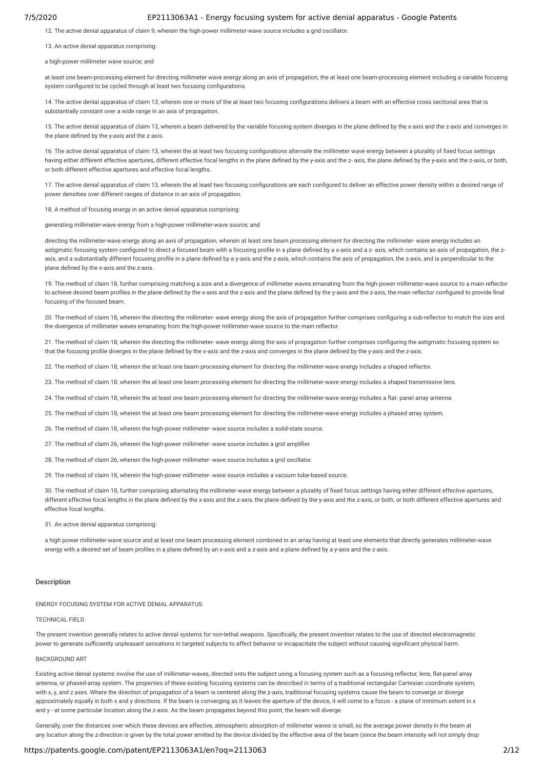12. The active denial apparatus of claim 9, wherein the high-power millimeter-wave source includes a grid oscillator.

13. An active denial apparatus comprising:

a high-power millimeter wave source; and

at least one beam-processing element for directing millimeter wave energy along an axis of propagation, the at least one beam-processing element including a variable focusing system configured to be cycled through at least two focusing configurations.

14. The active denial apparatus of claim 13, wherein one or more of the at least two focusing configurations delivers a beam with an effective cross sectional area that is substantially constant over a wide range in an axis of propagation.

15. The active denial apparatus of claim 13, wherein a beam delivered by the variable focusing system diverges in the plane defined by the x-axis and the z-axis and converges in the plane defined by the y-axis and the z-axis.

16. The active denial apparatus of claim 13, wherein the at least two focusing configurations alternate the millimeter wave energy between a plurality of fixed focus settings having either different effective apertures, different effective focal lengths in the plane defined by the y-axis and the z- axis, the plane defined by the y-axis and the z-axis, or both, or both different effective apertures and effective focal lengths.

17. The active denial apparatus of claim 13, wherein the at least two focusing configurations are each configured to deliver an effective power density within a desired range of power densities over different ranges of distance in an axis of propagation.

18. A method of focusing energy in an active denial apparatus comprising:

generating millimeter-wave energy from a high-power millimeter-wave source; and

directing the millimeter-wave energy along an axis of propagation, wherein at least one beam processing element for directing the millimeter- wave energy includes an astigmatic focusing system configured to direct a focused beam with a focusing profile in a plane defined by a x-axis and a z- axis, which contains an axis of propagation, the zaxis, and a substantially different focusing profile in a plane defined by a y-axis and the z-axis, which contains the axis of propagation, the z-axis, and is perpendicular to the plane defined by the x-axis and the z-axis.

19. The method of claim 18, further comprising matching a size and a divergence of millimeter waves emanating from the high-power millimeter-wave source to a main reflector to achieve desired beam profiles in the plane defined by the x-axis and the z-axis and the plane defined by the y-axis and the z-axis, the main reflector configured to provide final focusing of the focused beam.

20. The method of claim 18, wherein the directing the millimeter- wave energy along the axis of propagation further comprises configuring a sub-reflector to match the size and the divergence of millimeter waves emanating from the high-power millimeter-wave source to the main reflector.

21. The method of claim 18, wherein the directing the millimeter- wave energy along the axis of propagation further comprises configuring the astigmatic focusing system so that the focusing profile diverges in the plane defined by the x-axis and the z-axis and converges in the plane defined by the y-axis and the z-axis.

22. The method of claim 18, wherein the at least one beam processing element for directing the millimeter-wave energy includes a shaped reflector.

23. The method of claim 18, wherein the at least one beam processing element for directing the millimeter-wave energy includes a shaped transmissive lens.

24. The method of claim 18, wherein the at least one beam processing element for directing the millimeter-wave energy includes a flat- panel array antenna.

25. The method of claim 18, wherein the at least one beam processing element for directing the millimeter-wave energy includes a phased array system.

26. The method of claim 18, wherein the high-power millimeter- wave source includes a solid-state source.

27. The method of claim 26, wherein the high-power millimeter- wave source includes a grid amplifier.

28. The method of claim 26, wherein the high-power millimeter- wave source includes a grid oscillator.

29. The method of claim 18, wherein the high-power millimeter- wave source includes a vacuum tube-based source.

30. The method of claim 18, further comprising alternating the millimeter-wave energy between a plurality of fixed focus settings having either different effective apertures, different effective focal lengths in the plane defined by the x-axis and the z-axis, the plane defined by the y-axis and the z-axis, or both, or both different effective apertures and effective focal lengths.

31. An active denial apparatus comprising:

a high power millimeter-wave source and at least one beam processing element combined in an array having at least one elements that directly generates millimeter-wave energy with a desired set of beam profiles in a plane defined by an x-axis and a z-axis and a plane defined by a y-axis and the z-axis.

#### Description

## ENERGY FOCUSING SYSTEM FOR ACTIVE DENIAL APPARATUS

TECHNICAL FIELD

The present invention generally relates to active denial systems for non-lethal weapons. Specifically, the present invention relates to the use of directed electromagnetic power to generate sufficiently unpleasant sensations in targeted subjects to affect behavior or incapacitate the subject without causing significant physical harm.

## BACKGROUND ART

Existing active denial systems involve the use of millimeter-waves, directed onto the subject using a focusing system such as a focusing reflector, lens, flat-panel array antenna, or phased-array system. The properties of these existing focusing systems can be described in terms of a traditional rectangular Cartesian coordinate system, with x, y, and z axes. Where the direction of propagation of a beam is centered along the z-axis, traditional focusing systems cause the beam to converge or diverge approximately equally in both x and y directions. If the beam is converging as it leaves the aperture of the device, it will come to a focus - a plane of minimum extent in x and y - at some particular location along the z-axis. As the beam propagates beyond this point, the beam will diverge.

Generally, over the distances over which these devices are effective, atmospheric absorption of millimeter waves is small, so the average power density in the beam at any location along the z-direction is given by the total power emitted by the device divided by the effective area of the beam (since the beam intensity will not simply drop

## https://patents.google.com/patent/EP2113063A1/en?oq=2113063 2/12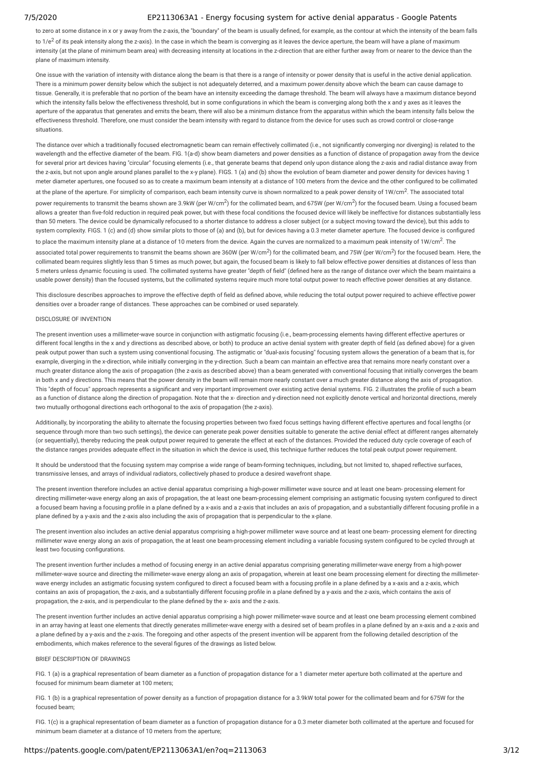to zero at some distance in x or y away from the z-axis, the "boundary" of the beam is usually defined, for example, as the contour at which the intensity of the beam falls

to 1/e<sup>2</sup> of its peak intensity along the z-axis). In the case in which the beam is converging as it leaves the device aperture, the beam will have a plane of maximum intensity (at the plane of minimum beam area) with decreasing intensity at locations in the z-direction that are either further away from or nearer to the device than the plane of maximum intensity.

One issue with the variation of intensity with distance along the beam is that there is a range of intensity or power density that is useful in the active denial application. There is a minimum power density below which the subject is not adequately deterred, and a maximum power.density above which the beam can cause damage to tissue. Generally, it is preferable that no portion of the beam have an intensity exceeding the damage threshold. The beam will always have a maximum distance beyond which the intensity falls below the effectiveness threshold, but in some configurations in which the beam is converging along both the x and y axes as it leaves the aperture of the apparatus that generates and emits the beam, there will also be a minimum distance from the apparatus within which the beam intensity falls below the effectiveness threshold. Therefore, one must consider the beam intensity with regard to distance from the device for uses such as crowd control or close-range situations.

The distance over which a traditionally focused electromagnetic beam can remain effectively collimated (i.e., not significantly converging nor diverging) is related to the wavelength and the effective diameter of the beam. FIG. 1(a-d) show beam diameters and power densities as a function of distance of propagation away from the device for several prior art devices having "circular" focusing elements (i.e., that generate beams that depend only upon distance along the z-axis and radial distance away from the z-axis, but not upon angle around planes parallel to the x-y plane). FIGS. 1 (a) and (b) show the evolution of beam diameter and power density for devices having 1 meter diameter apertures, one focused so as to create a maximum beam intensity at a distance of 100 meters from the device and the other congured to be collimated at the plane of the aperture. For simplicity of comparison, each beam intensity curve is shown normalized to a peak power density of 1W/cm<sup>2</sup>. The associated total power requirements to transmit the beams shown are 3.9kW (per W/cm<sup>2</sup>) for the collimated beam, and 675W (per W/cm<sup>2</sup>) for the focused beam. Using a focused beam allows a greater than five-fold reduction in required peak power, but with these focal conditions the focused device will likely be ineffective for distances substantially less than 50 meters. The device could be dynamically refocused to a shorter distance to address a closer subject (or a subject moving toward the device), but this adds to system complexity. FIGS. 1 (c) and (d) show similar plots to those of (a) and (b), but for devices having a 0.3 meter diameter aperture. The focused device is configured to place the maximum intensity plane at a distance of 10 meters from the device. Again the curves are normalized to a maximum peak intensity of 1W/cm<sup>2</sup>. The associated total power requirements to transmit the beams shown are 360W (per W/cm<sup>2</sup>) for the collimated beam, and 75W (per W/cm<sup>2</sup>) for the focused beam. Here, the collimated beam requires slightly less than 5 times as much power, but again, the focused beam is likely to fall below effective power densities at distances of less than 5 meters unless dynamic focusing is used. The collimated systems have greater "depth of field" (defined here as the range of distance over which the beam maintains a usable power density) than the focused systems, but the collimated systems require much more total output power to reach effective power densities at any distance.

This disclosure describes approaches to improve the effective depth of field as defined above, while reducing the total output power required to achieve effective power densities over a broader range of distances. These approaches can be combined or used separately.

#### DISCLOSURE OF INVENTION

The present invention uses a millimeter-wave source in conjunction with astigmatic focusing (i.e., beam-processing elements having different effective apertures or different focal lengths in the x and y directions as described above, or both) to produce an active denial system with greater depth of field (as defined above) for a given peak output power than such a system using conventional focusing. The astigmatic or "dual-axis focusing" focusing system allows the generation of a beam that is, for example, diverging in the x-direction, while initially converging in the y-direction. Such a beam can maintain an effective area that remains more nearly constant over a much greater distance along the axis of propagation (the z-axis as described above) than a beam generated with conventional focusing that initially converges the beam in both x and y directions. This means that the power density in the beam will remain more nearly constant over a much greater distance along the axis of propagation. This "depth of focus" approach represents a significant and very important improvement over existing active denial systems. FIG. 2 illustrates the profile of such a beam as a function of distance along the direction of propagation. Note that the x- direction and y-direction need not explicitly denote vertical and horizontal directions, merely two mutually orthogonal directions each orthogonal to the axis of propagation (the z-axis).

Additionally, by incorporating the ability to alternate the focusing properties between two fixed focus settings having different effective apertures and focal lengths (or sequence through more than two such settings), the device can generate peak power densities suitable to generate the active denial effect at different ranges alternately (or sequentially), thereby reducing the peak output power required to generate the effect at each of the distances. Provided the reduced duty cycle coverage of each of the distance ranges provides adequate effect in the situation in which the device is used, this technique further reduces the total peak output power requirement.

It should be understood that the focusing system may comprise a wide range of beam-forming techniques, including, but not limited to, shaped reflective surfaces, transmissive lenses, and arrays of individual radiators, collectively phased to produce a desired wavefront shape.

The present invention therefore includes an active denial apparatus comprising a high-power millimeter wave source and at least one beam- processing element for directing millimeter-wave energy along an axis of propagation, the at least one beam-processing element comprising an astigmatic focusing system congured to direct a focused beam having a focusing profile in a plane defined by a x-axis and a z-axis that includes an axis of propagation, and a substantially different focusing profile in a plane defined by a y-axis and the z-axis also including the axis of propagation that is perpendicular to the x-plane.

The present invention also includes an active denial apparatus comprising a high-power millimeter wave source and at least one beam- processing element for directing millimeter wave energy along an axis of propagation, the at least one beam-processing element including a variable focusing system configured to be cycled through at least two focusing configurations.

The present invention further includes a method of focusing energy in an active denial apparatus comprising generating millimeter-wave energy from a high-power millimeter-wave source and directing the millimeter-wave energy along an axis of propagation, wherein at least one beam processing element for directing the millimeterwave energy includes an astigmatic focusing system configured to direct a focused beam with a focusing profile in a plane defined by a x-axis and a z-axis, which contains an axis of propagation, the z-axis, and a substantially different focusing profile in a plane defined by a y-axis and the z-axis, which contains the axis of propagation, the z-axis, and is perpendicular to the plane defined by the x- axis and the z-axis.

The present invention further includes an active denial apparatus comprising a high power millimeter-wave source and at least one beam processing element combined in an array having at least one elements that directly generates millimeter-wave energy with a desired set of beam profiles in a plane defined by an x-axis and a z-axis and a plane defined by a y-axis and the z-axis. The foregoing and other aspects of the present invention will be apparent from the following detailed description of the embodiments, which makes reference to the several figures of the drawings as listed below.

### BRIEF DESCRIPTION OF DRAWINGS

FIG. 1 (a) is a graphical representation of beam diameter as a function of propagation distance for a 1 diameter meter aperture both collimated at the aperture and focused for minimum beam diameter at 100 meters;

FIG. 1 (b) is a graphical representation of power density as a function of propagation distance for a 3.9kW total power for the collimated beam and for 675W for the focused beam;

FIG. 1(c) is a graphical representation of beam diameter as a function of propagation distance for a 0.3 meter diameter both collimated at the aperture and focused for minimum beam diameter at a distance of 10 meters from the aperture;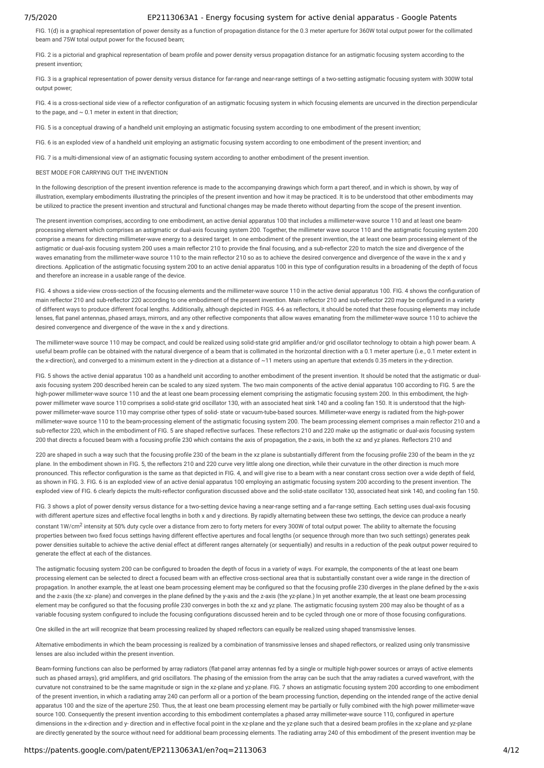FIG. 1(d) is a graphical representation of power density as a function of propagation distance for the 0.3 meter aperture for 360W total output power for the collimated beam and 75W total output power for the focused beam;

FIG. 2 is a pictorial and graphical representation of beam profile and power density versus propagation distance for an astigmatic focusing system according to the present invention;

FIG. 3 is a graphical representation of power density versus distance for far-range and near-range settings of a two-setting astigmatic focusing system with 300W total output power;

FIG. 4 is a cross-sectional side view of a reflector configuration of an astigmatic focusing system in which focusing elements are uncurved in the direction perpendicular to the page, and  $\sim$  0.1 meter in extent in that direction;

FIG. 5 is a conceptual drawing of a handheld unit employing an astigmatic focusing system according to one embodiment of the present invention;

FIG. 6 is an exploded view of a handheld unit employing an astigmatic focusing system according to one embodiment of the present invention; and

FIG. 7 is a multi-dimensional view of an astigmatic focusing system according to another embodiment of the present invention.

BEST MODE FOR CARRYING OUT THE INVENTION

In the following description of the present invention reference is made to the accompanying drawings which form a part thereof, and in which is shown, by way of illustration, exemplary embodiments illustrating the principles of the present invention and how it may be practiced. It is to be understood that other embodiments may be utilized to practice the present invention and structural and functional changes may be made thereto without departing from the scope of the present invention.

The present invention comprises, according to one embodiment, an active denial apparatus 100 that includes a millimeter-wave source 110 and at least one beamprocessing element which comprises an astigmatic or dual-axis focusing system 200. Together, the millimeter wave source 110 and the astigmatic focusing system 200 comprise a means for directing millimeter-wave energy to a desired target. In one embodiment of the present invention, the at least one beam processing element of the astigmatic or dual-axis focusing system 200 uses a main reflector 210 to provide the final focusing, and a sub-reflector 220 to match the size and divergence of the waves emanating from the millimeter-wave source 110 to the main reflector 210 so as to achieve the desired convergence and divergence of the wave in the x and y directions. Application of the astigmatic focusing system 200 to an active denial apparatus 100 in this type of configuration results in a broadening of the depth of focus and therefore an increase in a usable range of the device.

FIG. 4 shows a side-view cross-section of the focusing elements and the millimeter-wave source 110 in the active denial apparatus 100. FIG. 4 shows the configuration of main reflector 210 and sub-reflector 220 according to one embodiment of the present invention. Main reflector 210 and sub-reflector 220 may be configured in a variety of different ways to produce different focal lengths. Additionally, although depicted in FIGS. 4-6 as reectors, it should be noted that these focusing elements may include lenses, flat panel antennas, phased arrays, mirrors, and any other reflective components that allow waves emanating from the millimeter-wave source 110 to achieve the desired convergence and divergence of the wave in the x and y directions.

The millimeter-wave source 110 may be compact, and could be realized using solid-state grid amplier and/or grid oscillator technology to obtain a high power beam. A useful beam profile can be obtained with the natural divergence of a beam that is collimated in the horizontal direction with a 0.1 meter aperture (i.e., 0.1 meter extent in the x-direction), and converged to a minimum extent in the y-direction at a distance of ~11 meters using an aperture that extends 0.35 meters in the y-direction.

FIG. 5 shows the active denial apparatus 100 as a handheld unit according to another embodiment of the present invention. It should be noted that the astigmatic or dualaxis focusing system 200 described herein can be scaled to any sized system. The two main components of the active denial apparatus 100 according to FIG. 5 are the high-power millimeter-wave source 110 and the at least one beam processing element comprising the astigmatic focusing system 200. In this embodiment, the highpower millimeter wave source 110 comprises a solid-state grid oscillator 130, with an associated heat sink 140 and a cooling fan 150. It is understood that the highpower millimeter-wave source 110 may comprise other types of solid- state or vacuum-tube-based sources. Millimeter-wave energy is radiated from the high-power millimeter-wave source 110 to the beam-processing element of the astigmatic focusing system 200. The beam processing element comprises a main reector 210 and a sub-reflector 220, which in the embodiment of FIG. 5 are shaped reflective surfaces. These reflectors 210 and 220 make up the astigmatic or dual-axis focusing system 200 that directs a focused beam with a focusing profile 230 which contains the axis of propagation, the z-axis, in both the xz and yz planes. Reflectors 210 and

220 are shaped in such a way such that the focusing profile 230 of the beam in the xz plane is substantially different from the focusing profile 230 of the beam in the yz plane. In the embodiment shown in FIG. 5, the reflectors 210 and 220 curve very little along one direction, while their curvature in the other direction is much more pronounced. This reflector configuration is the same as that depicted in FIG. 4, and will give rise to a beam with a near constant cross section over a wide depth of field, as shown in FIG. 3. FIG. 6 is an exploded view of an active denial apparatus 100 employing an astigmatic focusing system 200 according to the present invention. The exploded view of FIG. 6 clearly depicts the multi-reflector configuration discussed above and the solid-state oscillator 130, associated heat sink 140, and cooling fan 150.

FIG. 3 shows a plot of power density versus distance for a two-setting device having a near-range setting and a far-range setting. Each setting uses dual-axis focusing with different aperture sizes and effective focal lengths in both x and y directions. By rapidly alternating between these two settings, the device can produce a nearly constant 1W/cm<sup>2</sup> intensity at 50% duty cycle over a distance from zero to forty meters for every 300W of total output power. The ability to alternate the focusing properties between two fixed focus settings having different effective apertures and focal lengths (or sequence through more than two such settings) generates peak power densities suitable to achieve the active denial effect at different ranges alternately (or sequentially) and results in a reduction of the peak output power required to generate the effect at each of the distances.

The astigmatic focusing system 200 can be configured to broaden the depth of focus in a variety of ways. For example, the components of the at least one beam processing element can be selected to direct a focused beam with an effective cross-sectional area that is substantially constant over a wide range in the direction of propagation. In another example, the at least one beam processing element may be configured so that the focusing profile 230 diverges in the plane defined by the x-axis and the z-axis (the xz- plane) and converges in the plane defined by the y-axis and the z-axis (the yz-plane.) In yet another example, the at least one beam processing element may be configured so that the focusing profile 230 converges in both the xz and yz plane. The astigmatic focusing system 200 may also be thought of as a variable focusing system configured to include the focusing configurations discussed herein and to be cycled through one or more of those focusing configurations.

One skilled in the art will recognize that beam processing realized by shaped reflectors can equally be realized using shaped transmissive lenses.

Alternative embodiments in which the beam processing is realized by a combination of transmissive lenses and shaped reflectors, or realized using only transmissive lenses are also included within the present invention.

Beam-forming functions can also be performed by array radiators (flat-panel array antennas fed by a single or multiple high-power sources or arrays of active elements such as phased arrays), grid amplifiers, and grid oscillators. The phasing of the emission from the array can be such that the array radiates a curved wavefront, with the curvature not constrained to be the same magnitude or sign in the xz-plane and yz-plane. FIG. 7 shows an astigmatic focusing system 200 according to one embodiment of the present invention, in which a radiating array 240 can perform all or a portion of the beam processing function, depending on the intended range of the active denial apparatus 100 and the size of the aperture 250. Thus, the at least one beam processing element may be partially or fully combined with the high power millimeter-wave source 100. Consequently the present invention according to this embodiment contemplates a phased array millimeter-wave source 110, configured in aperture dimensions in the x-direction and y- direction and in effective focal point in the xz-plane and the yz-plane such that a desired beam profiles in the xz-plane and yz-plane are directly generated by the source without need for additional beam processing elements. The radiating array 240 of this embodiment of the present invention may be

### https://patents.google.com/patent/EP2113063A1/en?oq=2113063 4/12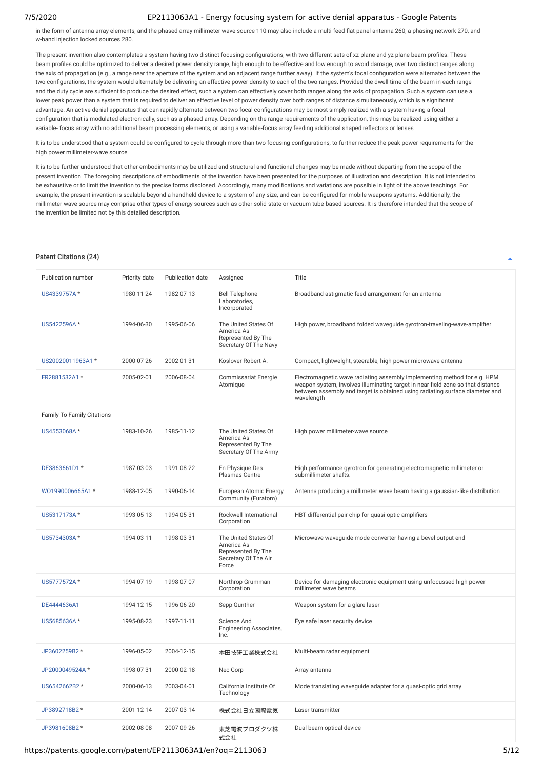in the form of antenna array elements, and the phased array millimeter wave source 110 may also include a multi-feed flat panel antenna 260, a phasing network 270, and w-band injection locked sources 280.

The present invention also contemplates a system having two distinct focusing configurations, with two different sets of xz-plane and yz-plane beam profiles. These beam profiles could be optimized to deliver a desired power density range, high enough to be effective and low enough to avoid damage, over two distinct ranges along the axis of propagation (e.g., a range near the aperture of the system and an adjacent range further away). If the system's focal configuration were alternated between the two configurations, the system would alternately be delivering an effective power density to each of the two ranges. Provided the dwell time of the beam in each range and the duty cycle are sufficient to produce the desired effect, such a system can effectively cover both ranges along the axis of propagation. Such a system can use a lower peak power than a system that is required to deliver an effective level of power density over both ranges of distance simultaneously, which is a significant advantage. An active denial apparatus that can rapidly alternate between two focal configurations may be most simply realized with a system having a focal configuration that is modulated electronically, such as a phased array. Depending on the range requirements of the application, this may be realized using either a variable- focus array with no additional beam processing elements, or using a variable-focus array feeding additional shaped reflectors or lenses

It is to be understood that a system could be configured to cycle through more than two focusing configurations, to further reduce the peak power requirements for the high power millimeter-wave source.

It is to be further understood that other embodiments may be utilized and structural and functional changes may be made without departing from the scope of the present invention. The foregoing descriptions of embodiments of the invention have been presented for the purposes of illustration and description. It is not intended to be exhaustive or to limit the invention to the precise forms disclosed. Accordingly, many modifications and variations are possible in light of the above teachings. For example, the present invention is scalable beyond a handheld device to a system of any size, and can be configured for mobile weapons systems. Additionally, the millimeter-wave source may comprise other types of energy sources such as other solid-state or vacuum tube-based sources. It is therefore intended that the scope of the invention be limited not by this detailed description.

#### <span id="page-4-0"></span>Patent Citations (24)

| Publication number                | Priority date | Publication date | Assignee                                                                                  | Title                                                                                                                                                                                                                                                     |
|-----------------------------------|---------------|------------------|-------------------------------------------------------------------------------------------|-----------------------------------------------------------------------------------------------------------------------------------------------------------------------------------------------------------------------------------------------------------|
| US4339757A*                       | 1980-11-24    | 1982-07-13       | <b>Bell Telephone</b><br>Laboratories.<br>Incorporated                                    | Broadband astigmatic feed arrangement for an antenna                                                                                                                                                                                                      |
| US5422596A*                       | 1994-06-30    | 1995-06-06       | The United States Of<br>America As<br>Represented By The<br>Secretary Of The Navy         | High power, broadband folded waveguide gyrotron-traveling-wave-amplifier                                                                                                                                                                                  |
| US20020011963A1*                  | 2000-07-26    | 2002-01-31       | Koslover Robert A.                                                                        | Compact, lightwelght, steerable, high-power microwave antenna                                                                                                                                                                                             |
| FR2881532A1 *                     | 2005-02-01    | 2006-08-04       | <b>Commissariat Energie</b><br>Atomique                                                   | Electromagnetic wave radiating assembly implementing method for e.g. HPM<br>weapon system, involves illuminating target in near field zone so that distance<br>between assembly and target is obtained using radiating surface diameter and<br>wavelength |
| <b>Family To Family Citations</b> |               |                  |                                                                                           |                                                                                                                                                                                                                                                           |
| US4553068A*                       | 1983-10-26    | 1985-11-12       | The United States Of<br>America As<br>Represented By The<br>Secretary Of The Army         | High power millimeter-wave source                                                                                                                                                                                                                         |
| DE3863661D1 *                     | 1987-03-03    | 1991-08-22       | En Physique Des<br>Plasmas Centre                                                         | High performance gyrotron for generating electromagnetic millimeter or<br>submillimeter shafts.                                                                                                                                                           |
| WO1990006665A1*                   | 1988-12-05    | 1990-06-14       | European Atomic Energy<br>Community (Euratom)                                             | Antenna producing a millimeter wave beam having a gaussian-like distribution                                                                                                                                                                              |
| US5317173A*                       | 1993-05-13    | 1994-05-31       | Rockwell International<br>Corporation                                                     | HBT differential pair chip for quasi-optic amplifiers                                                                                                                                                                                                     |
| US5734303A*                       | 1994-03-11    | 1998-03-31       | The United States Of<br>America As<br>Represented By The<br>Secretary Of The Air<br>Force | Microwave waveguide mode converter having a bevel output end                                                                                                                                                                                              |
| US5777572A*                       | 1994-07-19    | 1998-07-07       | Northrop Grumman<br>Corporation                                                           | Device for damaging electronic equipment using unfocussed high power<br>millimeter wave beams                                                                                                                                                             |
| DE4444636A1                       | 1994-12-15    | 1996-06-20       | Sepp Gunther                                                                              | Weapon system for a glare laser                                                                                                                                                                                                                           |
| US5685636A*                       | 1995-08-23    | 1997-11-11       | <b>Science And</b><br>Engineering Associates,<br>Inc.                                     | Eye safe laser security device                                                                                                                                                                                                                            |
| JP3602259B2 *                     | 1996-05-02    | 2004-12-15       | 本田技研工業株式会社                                                                                | Multi-beam radar equipment                                                                                                                                                                                                                                |
| JP2000049524A*                    | 1998-07-31    | 2000-02-18       | Nec Corp                                                                                  | Array antenna                                                                                                                                                                                                                                             |
| US6542662B2 *                     | 2000-06-13    | 2003-04-01       | California Institute Of<br>Technology                                                     | Mode translating waveguide adapter for a quasi-optic grid array                                                                                                                                                                                           |
| JP3892718B2 *                     | 2001-12-14    | 2007-03-14       | 株式会社日立国際電気                                                                                | Laser transmitter                                                                                                                                                                                                                                         |
| JP3981608B2 *                     | 2002-08-08    | 2007-09-26       | 東芝電波プロダクツ株<br>式会社                                                                         | Dual beam optical device                                                                                                                                                                                                                                  |

https://patents.google.com/patent/EP2113063A1/en?oq=2113063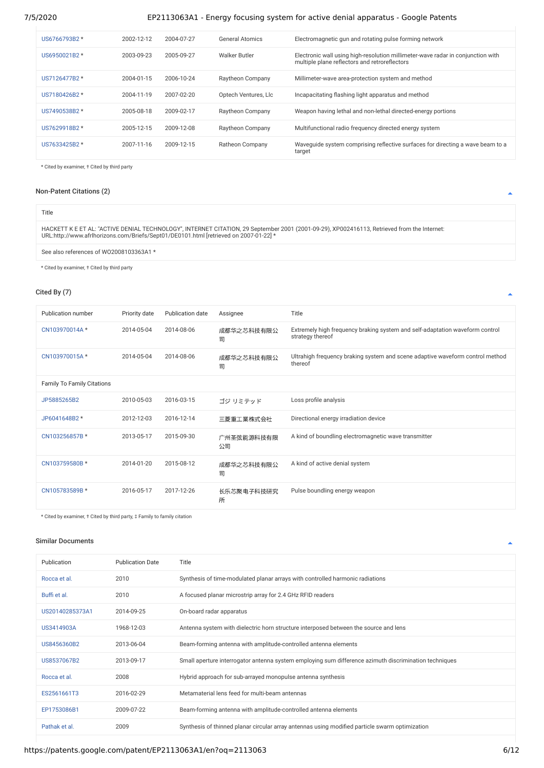| US6766793B2 * | 2002-12-12 | 2004-07-27 | <b>General Atomics</b> | Electromagnetic gun and rotating pulse forming network                                                                           |
|---------------|------------|------------|------------------------|----------------------------------------------------------------------------------------------------------------------------------|
| US6950021B2 * | 2003-09-23 | 2005-09-27 | <b>Walker Butler</b>   | Electronic wall using high-resolution millimeter-wave radar in conjunction with<br>multiple plane reflectors and retroreflectors |
| US7126477B2 * | 2004-01-15 | 2006-10-24 | Raytheon Company       | Millimeter-wave area-protection system and method                                                                                |
| US7180426B2 * | 2004-11-19 | 2007-02-20 | Optech Ventures. Llc   | Incapacitating flashing light apparatus and method                                                                               |
| US7490538B2 * | 2005-08-18 | 2009-02-17 | Raytheon Company       | Weapon having lethal and non-lethal directed-energy portions                                                                     |
| US7629918B2 * | 2005-12-15 | 2009-12-08 | Raytheon Company       | Multifunctional radio frequency directed energy system                                                                           |
| US7633425B2 * | 2007-11-16 | 2009-12-15 | Ratheon Company        | Wavequide system comprising reflective surfaces for directing a wave beam to a<br>target                                         |

\* Cited by examiner, † Cited by third party

## <span id="page-5-0"></span>Non-Patent Citations (2)

| Title                                                                                                                                                                                                                                |
|--------------------------------------------------------------------------------------------------------------------------------------------------------------------------------------------------------------------------------------|
| HACKETT K E ET AL: "ACTIVE DENIAL TECHNOLOGY", INTERNET CITATION, 29 September 2001 (2001-09-29), XP002416113, Retrieved from the Internet:<br>URL:http://www.afrlhorizons.com/Briefs/Sept01/DE0101.html [retrieved on 2007-01-22] * |
| See also references of WO2008103363A1 *                                                                                                                                                                                              |

\* Cited by examiner, † Cited by third party

## <span id="page-5-1"></span>Cited By (7)

| Publication number                | Priority date | <b>Publication date</b> | Assignee         | Title                                                                                            |
|-----------------------------------|---------------|-------------------------|------------------|--------------------------------------------------------------------------------------------------|
| CN103970014A*                     | 2014-05-04    | 2014-08-06              | 成都华之芯科技有限公<br>司  | Extremely high frequency braking system and self-adaptation waveform control<br>strategy thereof |
| CN103970015A*                     | 2014-05-04    | 2014-08-06              | 成都华之芯科技有限公<br>司  | Ultrahigh frequency braking system and scene adaptive waveform control method<br>thereof         |
| <b>Family To Family Citations</b> |               |                         |                  |                                                                                                  |
| JP5885265B2                       | 2010-05-03    | 2016-03-15              | ゴジ リミテッド         | Loss profile analysis                                                                            |
| JP6041648B2 *                     | 2012-12-03    | 2016-12-14              | 三菱重工業株式会社        | Directional energy irradiation device                                                            |
| CN103256857B *                    | 2013-05-17    | 2015-09-30              | 广州圣弦能源科技有限<br>公司 | A kind of boundling electromagnetic wave transmitter                                             |
| CN103759580B *                    | 2014-01-20    | 2015-08-12              | 成都华之芯科技有限公<br>司  | A kind of active denial system                                                                   |
| CN105783589B *                    | 2016-05-17    | 2017-12-26              | 长乐芯聚电子科技研究<br>所  | Pulse boundling energy weapon                                                                    |

\* Cited by examiner, † Cited by third party, ‡ Family to family citation

### <span id="page-5-2"></span>Similar Documents

| Publication     | <b>Publication Date</b> | Title                                                                                                 |
|-----------------|-------------------------|-------------------------------------------------------------------------------------------------------|
| Rocca et al.    | 2010                    | Synthesis of time-modulated planar arrays with controlled harmonic radiations                         |
| Buffi et al.    | 2010                    | A focused planar microstrip array for 2.4 GHz RFID readers                                            |
| US20140285373A1 | 2014-09-25              | On-board radar apparatus                                                                              |
| US3414903A      | 1968-12-03              | Antenna system with dielectric horn structure interposed between the source and lens                  |
| US8456360B2     | 2013-06-04              | Beam-forming antenna with amplitude-controlled antenna elements                                       |
| US8537067B2     | 2013-09-17              | Small aperture interrogator antenna system employing sum difference azimuth discrimination techniques |
| Rocca et al.    | 2008                    | Hybrid approach for sub-arrayed monopulse antenna synthesis                                           |
| ES2561661T3     | 2016-02-29              | Metamaterial lens feed for multi-beam antennas                                                        |
| EP1753086B1     | 2009-07-22              | Beam-forming antenna with amplitude-controlled antenna elements                                       |
| Pathak et al.   | 2009                    | Synthesis of thinned planar circular array antennas using modified particle swarm optimization        |

 $\blacktriangle$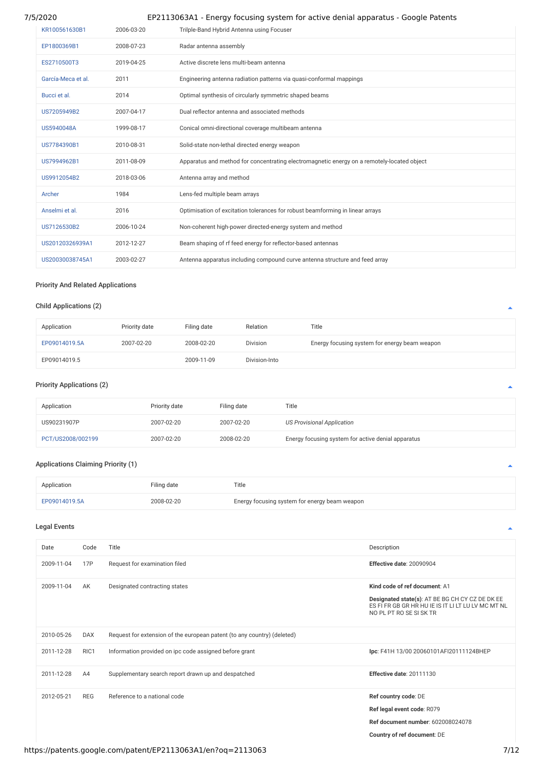| KR100561630B1      | 2006-03-20 | Trilple-Band Hybrid Antenna using Focuser                                                  |
|--------------------|------------|--------------------------------------------------------------------------------------------|
| EP1800369B1        | 2008-07-23 | Radar antenna assembly                                                                     |
| ES2710500T3        | 2019-04-25 | Active discrete lens multi-beam antenna                                                    |
| García-Meca et al. | 2011       | Engineering antenna radiation patterns via quasi-conformal mappings                        |
| Bucci et al.       | 2014       | Optimal synthesis of circularly symmetric shaped beams                                     |
| US7205949B2        | 2007-04-17 | Dual reflector antenna and associated methods                                              |
| US5940048A         | 1999-08-17 | Conical omni-directional coverage multibeam antenna                                        |
| US7784390B1        | 2010-08-31 | Solid-state non-lethal directed energy weapon                                              |
| US7994962B1        | 2011-08-09 | Apparatus and method for concentrating electromagnetic energy on a remotely-located object |
| US9912054B2        | 2018-03-06 | Antenna array and method                                                                   |
| Archer             | 1984       | Lens-fed multiple beam arrays                                                              |
| Anselmi et al.     | 2016       | Optimisation of excitation tolerances for robust beamforming in linear arrays              |
| US7126530B2        | 2006-10-24 | Non-coherent high-power directed-energy system and method                                  |
| US20120326939A1    | 2012-12-27 | Beam shaping of rf feed energy for reflector-based antennas                                |
| US20030038745A1    | 2003-02-27 | Antenna apparatus including compound curve antenna structure and feed array                |

## <span id="page-6-1"></span>Priority And Related Applications

## Child Applications (2)

| Application   | Priority date | Filing date | Relation        | Title                                         |
|---------------|---------------|-------------|-----------------|-----------------------------------------------|
| EP09014019.5A | 2007-02-20    | 2008-02-20  | <b>Division</b> | Energy focusing system for energy beam weapon |
| EP09014019.5  |               | 2009-11-09  | Division-Into   |                                               |

# Priority Applications (2)

| Application       | Priority date | Filing date | Title                                              |
|-------------------|---------------|-------------|----------------------------------------------------|
| US90231907P       | 2007-02-20    | 2007-02-20  | <b>US Provisional Application</b>                  |
| PCT/US2008/002199 | 2007-02-20    | 2008-02-20  | Energy focusing system for active denial apparatus |

## Applications Claiming Priority (1)

| Application   | Filing date | Title                                         |
|---------------|-------------|-----------------------------------------------|
| EP09014019.5A | 2008-02-20  | Energy focusing system for energy beam weapon |

## <span id="page-6-0"></span>Legal Events

| Date       | Code       | Title                                                                   | Description                                                                                                                                                       |
|------------|------------|-------------------------------------------------------------------------|-------------------------------------------------------------------------------------------------------------------------------------------------------------------|
| 2009-11-04 | 17P        | Request for examination filed                                           | Effective date: 20090904                                                                                                                                          |
| 2009-11-04 | AK         | Designated contracting states                                           | Kind code of ref document: A1<br>Designated state(s): AT BE BG CH CY CZ DE DK EE<br>ES FI FR GB GR HR HU IE IS IT LI LT LU LV MC MT NL<br>NO PL PT RO SE SI SK TR |
| 2010-05-26 | <b>DAX</b> | Request for extension of the european patent (to any country) (deleted) |                                                                                                                                                                   |
| 2011-12-28 | RIC1       | Information provided on ipc code assigned before grant                  | Ipc: F41H 13/00 20060101AFI20111124BHEP                                                                                                                           |
| 2011-12-28 | A4         | Supplementary search report drawn up and despatched                     | Effective date: 20111130                                                                                                                                          |
| 2012-05-21 | <b>REG</b> | Reference to a national code                                            | Ref country code: DE<br>Ref legal event code: R079<br>Ref document number: 602008024078<br>Country of ref document: DE                                            |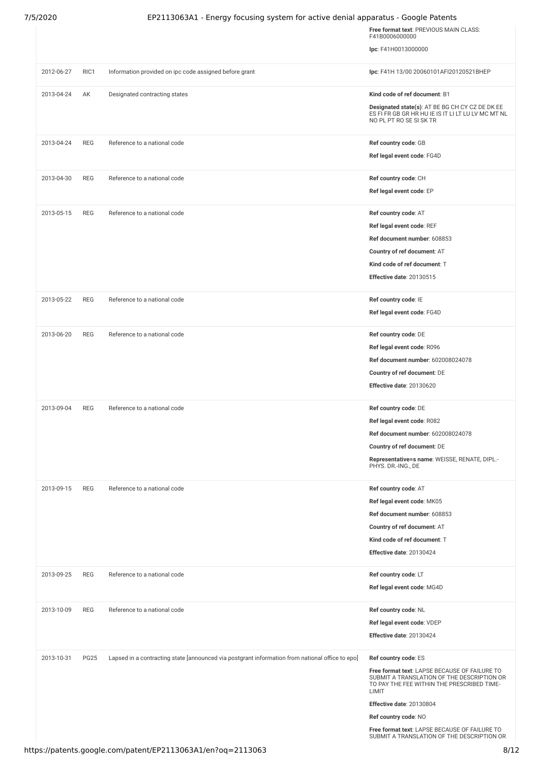|            |             |                                                                                                 | Free format text: PREVIOUS MAIN CLASS:<br>F41B0006000000                                                                         |
|------------|-------------|-------------------------------------------------------------------------------------------------|----------------------------------------------------------------------------------------------------------------------------------|
|            |             |                                                                                                 | Ipc: F41H0013000000                                                                                                              |
| 2012-06-27 | RIC1        | Information provided on ipc code assigned before grant                                          | Ipc: F41H 13/00 20060101AFI20120521BHEP                                                                                          |
| 2013-04-24 | AK          | Designated contracting states                                                                   | Kind code of ref document: B1                                                                                                    |
|            |             |                                                                                                 | Designated state(s): AT BE BG CH CY CZ DE DK EE<br>ES FI FR GB GR HR HU IE IS IT LI LT LU LV MC MT NL<br>NO PL PT RO SE SI SK TR |
| 2013-04-24 | <b>REG</b>  | Reference to a national code                                                                    | Ref country code: GB                                                                                                             |
|            |             |                                                                                                 | Ref legal event code: FG4D                                                                                                       |
| 2013-04-30 | <b>REG</b>  | Reference to a national code                                                                    | Ref country code: CH                                                                                                             |
|            |             |                                                                                                 | Ref legal event code: EP                                                                                                         |
| 2013-05-15 | <b>REG</b>  | Reference to a national code                                                                    | Ref country code: AT                                                                                                             |
|            |             |                                                                                                 | Ref legal event code: REF                                                                                                        |
|            |             |                                                                                                 | Ref document number: 608853                                                                                                      |
|            |             |                                                                                                 | Country of ref document: AT                                                                                                      |
|            |             |                                                                                                 | Kind code of ref document: T                                                                                                     |
|            |             |                                                                                                 | Effective date: 20130515                                                                                                         |
| 2013-05-22 | <b>REG</b>  | Reference to a national code                                                                    | Ref country code: IE                                                                                                             |
|            |             |                                                                                                 | Ref legal event code: FG4D                                                                                                       |
| 2013-06-20 | <b>REG</b>  | Reference to a national code                                                                    | Ref country code: DE                                                                                                             |
|            |             |                                                                                                 | Ref legal event code: R096                                                                                                       |
|            |             |                                                                                                 | Ref document number: 602008024078                                                                                                |
|            |             |                                                                                                 | Country of ref document: DE                                                                                                      |
|            |             |                                                                                                 | Effective date: 20130620                                                                                                         |
| 2013-09-04 | <b>REG</b>  | Reference to a national code                                                                    | Ref country code: DE                                                                                                             |
|            |             |                                                                                                 | Ref legal event code: R082                                                                                                       |
|            |             |                                                                                                 | Ref document number: 602008024078                                                                                                |
|            |             |                                                                                                 | Country of ref document: DE                                                                                                      |
|            |             |                                                                                                 | Representative=s name: WEISSE, RENATE, DIPL.-                                                                                    |
|            |             |                                                                                                 | PHYS. DR.-ING., DE                                                                                                               |
| 2013-09-15 | <b>REG</b>  | Reference to a national code                                                                    | Ref country code: AT                                                                                                             |
|            |             |                                                                                                 | Ref legal event code: MK05                                                                                                       |
|            |             |                                                                                                 | Ref document number: 608853                                                                                                      |
|            |             |                                                                                                 | Country of ref document: AT                                                                                                      |
|            |             |                                                                                                 | Kind code of ref document: T                                                                                                     |
|            |             |                                                                                                 | Effective date: 20130424                                                                                                         |
| 2013-09-25 | <b>REG</b>  | Reference to a national code                                                                    | Ref country code: LT                                                                                                             |
|            |             |                                                                                                 | Ref legal event code: MG4D                                                                                                       |
| 2013-10-09 | REG         | Reference to a national code                                                                    | Ref country code: NL                                                                                                             |
|            |             |                                                                                                 | Ref legal event code: VDEP                                                                                                       |
|            |             |                                                                                                 | Effective date: 20130424                                                                                                         |
| 2013-10-31 | <b>PG25</b> | Lapsed in a contracting state [announced via postgrant information from national office to epo] | Ref country code: ES                                                                                                             |
|            |             |                                                                                                 | Free format text: LAPSE BECAUSE OF FAILURE TO<br>SUBMIT A TRANSLATION OF THE DESCRIPTION OR                                      |
|            |             |                                                                                                 | TO PAY THE FEE WITHIN THE PRESCRIBED TIME-<br>LIMIT                                                                              |
|            |             |                                                                                                 | Effective date: 20130804                                                                                                         |
|            |             |                                                                                                 | Ref country code: NO                                                                                                             |
|            |             |                                                                                                 | Free format text: LAPSE BECAUSE OF FAILURE TO<br>SUBMIT A TRANSLATION OF THE DESCRIPTION OR                                      |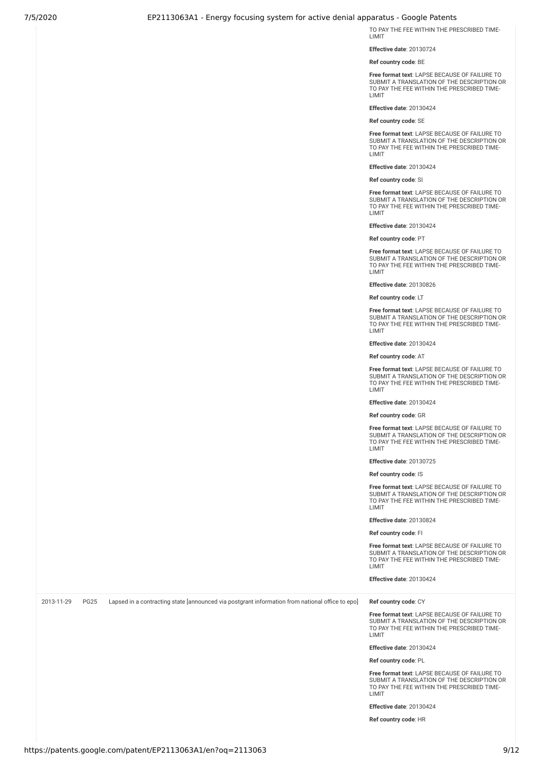TO PAY THE FEE WITHIN THE PRESCRIBED TIME-LIMIT

**Effective date**: 20130724

**Ref country code**: BE

**Free format text**: LAPSE BECAUSE OF FAILURE TO SUBMIT A TRANSLATION OF THE DESCRIPTION OR TO PAY THE FEE WITHIN THE PRESCRIBED TIME-LIMIT

**Effective date**: 20130424

**Ref country code**: SE

**Free format text**: LAPSE BECAUSE OF FAILURE TO SUBMIT A TRANSLATION OF THE DESCRIPTION OR TO PAY THE FEE WITHIN THE PRESCRIBED TIME-LIMIT

**Effective date**: 20130424

**Ref country code**: SI

**Free format text**: LAPSE BECAUSE OF FAILURE TO SUBMIT A TRANSLATION OF THE DESCRIPTION OR TO PAY THE FEE WITHIN THE PRESCRIBED TIME-LIMIT

**Effective date**: 20130424

**Ref country code**: PT

**Free format text**: LAPSE BECAUSE OF FAILURE TO SUBMIT A TRANSLATION OF THE DESCRIPTION OR TO PAY THE FEE WITHIN THE PRESCRIBED TIME-LIMIT

**Effective date**: 20130826

**Ref country code**: LT

**Free format text**: LAPSE BECAUSE OF FAILURE TO SUBMIT A TRANSLATION OF THE DESCRIPTION OR TO PAY THE FEE WITHIN THE PRESCRIBED TIME-LIMIT

**Effective date**: 20130424

**Ref country code**: AT

**Free format text**: LAPSE BECAUSE OF FAILURE TO SUBMIT A TRANSLATION OF THE DESCRIPTION OR TO PAY THE FEE WITHIN THE PRESCRIBED TIME-LIMIT

**Effective date**: 20130424

**Ref country code**: GR

**Free format text**: LAPSE BECAUSE OF FAILURE TO SUBMIT A TRANSLATION OF THE DESCRIPTION OR TO PAY THE FEE WITHIN THE PRESCRIBED TIME-LIMIT

**Effective date**: 20130725

**Ref country code**: IS

**Free format text**: LAPSE BECAUSE OF FAILURE TO SUBMIT A TRANSLATION OF THE DESCRIPTION OR TO PAY THE FEE WITHIN THE PRESCRIBED TIME-LIMIT

**Effective date**: 20130824

**Ref country code**: FI

**Free format text**: LAPSE BECAUSE OF FAILURE TO SUBMIT A TRANSLATION OF THE DESCRIPTION OR TO PAY THE FEE WITHIN THE PRESCRIBED TIME-LIMIT

**Effective date**: 20130424

2013-11-29 PG25 Lapsed in a contracting state [announced via postgrant information from national office to epo] Ref country code: CY

**Free format text**: LAPSE BECAUSE OF FAILURE TO SUBMIT A TRANSLATION OF THE DESCRIPTION OR TO PAY THE FEE WITHIN THE PRESCRIBED TIME-LIMIT

**Effective date**: 20130424

**Ref country code**: PL

**Free format text**: LAPSE BECAUSE OF FAILURE TO SUBMIT A TRANSLATION OF THE DESCRIPTION OR TO PAY THE FEE WITHIN THE PRESCRIBED TIME-**LIMIT** 

**Effective date**: 20130424

**Ref country code**: HR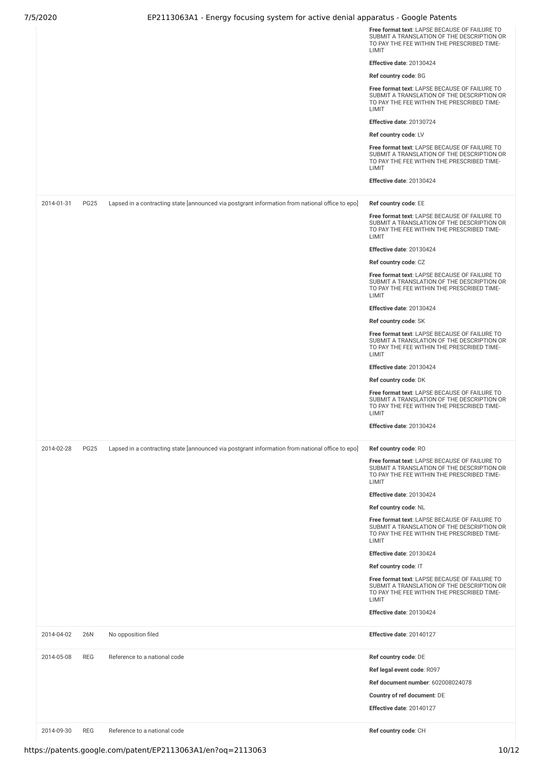|            |             |                                                                                                 | Free format text: LAPSE BECAUSE OF FAILURE TO<br>SUBMIT A TRANSLATION OF THE DESCRIPTION OR<br>TO PAY THE FEE WITHIN THE PRESCRIBED TIME-<br>LIMIT<br>Effective date: 20130424<br>Ref country code: BG<br>Free format text: LAPSE BECAUSE OF FAILURE TO<br>SUBMIT A TRANSLATION OF THE DESCRIPTION OR<br>TO PAY THE FEE WITHIN THE PRESCRIBED TIME-<br>LIMIT<br>Effective date: 20130724<br>Ref country code: LV<br>Free format text: LAPSE BECAUSE OF FAILURE TO<br>SUBMIT A TRANSLATION OF THE DESCRIPTION OR<br>TO PAY THE FEE WITHIN THE PRESCRIBED TIME-<br>LIMIT<br>Effective date: 20130424 |
|------------|-------------|-------------------------------------------------------------------------------------------------|----------------------------------------------------------------------------------------------------------------------------------------------------------------------------------------------------------------------------------------------------------------------------------------------------------------------------------------------------------------------------------------------------------------------------------------------------------------------------------------------------------------------------------------------------------------------------------------------------|
|            |             |                                                                                                 |                                                                                                                                                                                                                                                                                                                                                                                                                                                                                                                                                                                                    |
| 2014-01-31 | <b>PG25</b> | Lapsed in a contracting state [announced via postgrant information from national office to epo] | Ref country code: EE<br>Free format text: LAPSE BECAUSE OF FAILURE TO<br>SUBMIT A TRANSLATION OF THE DESCRIPTION OR<br>TO PAY THE FEE WITHIN THE PRESCRIBED TIME-<br>LIMIT                                                                                                                                                                                                                                                                                                                                                                                                                         |
|            |             |                                                                                                 | Effective date: 20130424                                                                                                                                                                                                                                                                                                                                                                                                                                                                                                                                                                           |
|            |             |                                                                                                 | Ref country code: CZ                                                                                                                                                                                                                                                                                                                                                                                                                                                                                                                                                                               |
|            |             |                                                                                                 | Free format text: LAPSE BECAUSE OF FAILURE TO<br>SUBMIT A TRANSLATION OF THE DESCRIPTION OR<br>TO PAY THE FEE WITHIN THE PRESCRIBED TIME-<br>LIMIT                                                                                                                                                                                                                                                                                                                                                                                                                                                 |
|            |             |                                                                                                 | Effective date: 20130424                                                                                                                                                                                                                                                                                                                                                                                                                                                                                                                                                                           |
|            |             |                                                                                                 | Ref country code: SK                                                                                                                                                                                                                                                                                                                                                                                                                                                                                                                                                                               |
|            |             |                                                                                                 | Free format text: LAPSE BECAUSE OF FAILURE TO<br>SUBMIT A TRANSLATION OF THE DESCRIPTION OR<br>TO PAY THE FEE WITHIN THE PRESCRIBED TIME-<br>LIMIT                                                                                                                                                                                                                                                                                                                                                                                                                                                 |
|            |             |                                                                                                 | Effective date: 20130424                                                                                                                                                                                                                                                                                                                                                                                                                                                                                                                                                                           |
|            |             |                                                                                                 | Ref country code: DK                                                                                                                                                                                                                                                                                                                                                                                                                                                                                                                                                                               |
|            |             |                                                                                                 | Free format text: LAPSE BECAUSE OF FAILURE TO<br>SUBMIT A TRANSLATION OF THE DESCRIPTION OR<br>TO PAY THE FEE WITHIN THE PRESCRIBED TIME-<br>LIMIT                                                                                                                                                                                                                                                                                                                                                                                                                                                 |
|            |             |                                                                                                 | Effective date: 20130424                                                                                                                                                                                                                                                                                                                                                                                                                                                                                                                                                                           |
|            |             |                                                                                                 |                                                                                                                                                                                                                                                                                                                                                                                                                                                                                                                                                                                                    |
| 2014-02-28 | <b>PG25</b> | Lapsed in a contracting state [announced via postgrant information from national office to epo] | Ref country code: RO<br>Free format text: LAPSE BECAUSE OF FAILURE TO<br>SUBMIT A TRANSLATION OF THE DESCRIPTION OR<br>TO PAY THE FEE WITHIN THE PRESCRIBED TIME-<br>LIMIT                                                                                                                                                                                                                                                                                                                                                                                                                         |
|            |             |                                                                                                 | Effective date: 20130424                                                                                                                                                                                                                                                                                                                                                                                                                                                                                                                                                                           |
|            |             |                                                                                                 | Ref country code: NL                                                                                                                                                                                                                                                                                                                                                                                                                                                                                                                                                                               |
|            |             |                                                                                                 | Free format text: LAPSE BECAUSE OF FAILURE TO<br>SUBMIT A TRANSLATION OF THE DESCRIPTION OR<br>TO PAY THE FEE WITHIN THE PRESCRIBED TIME-<br>LIMIT                                                                                                                                                                                                                                                                                                                                                                                                                                                 |
|            |             |                                                                                                 | Effective date: 20130424                                                                                                                                                                                                                                                                                                                                                                                                                                                                                                                                                                           |
|            |             |                                                                                                 | Ref country code: IT                                                                                                                                                                                                                                                                                                                                                                                                                                                                                                                                                                               |
|            |             |                                                                                                 | Free format text: LAPSE BECAUSE OF FAILURE TO<br>SUBMIT A TRANSLATION OF THE DESCRIPTION OR<br>TO PAY THE FEE WITHIN THE PRESCRIBED TIME-<br>LIMIT                                                                                                                                                                                                                                                                                                                                                                                                                                                 |
|            |             |                                                                                                 | Effective date: 20130424                                                                                                                                                                                                                                                                                                                                                                                                                                                                                                                                                                           |
| 2014-04-02 | 26N         | No opposition filed                                                                             | Effective date: 20140127                                                                                                                                                                                                                                                                                                                                                                                                                                                                                                                                                                           |
| 2014-05-08 | <b>REG</b>  | Reference to a national code                                                                    | Ref country code: DE                                                                                                                                                                                                                                                                                                                                                                                                                                                                                                                                                                               |
|            |             |                                                                                                 | Ref legal event code: R097                                                                                                                                                                                                                                                                                                                                                                                                                                                                                                                                                                         |
|            |             |                                                                                                 | Ref document number: 602008024078                                                                                                                                                                                                                                                                                                                                                                                                                                                                                                                                                                  |
|            |             |                                                                                                 | Country of ref document: DE                                                                                                                                                                                                                                                                                                                                                                                                                                                                                                                                                                        |
|            |             |                                                                                                 | Effective date: 20140127                                                                                                                                                                                                                                                                                                                                                                                                                                                                                                                                                                           |
| 2014-09-30 | <b>REG</b>  | Reference to a national code                                                                    | Ref country code: CH                                                                                                                                                                                                                                                                                                                                                                                                                                                                                                                                                                               |
|            |             |                                                                                                 |                                                                                                                                                                                                                                                                                                                                                                                                                                                                                                                                                                                                    |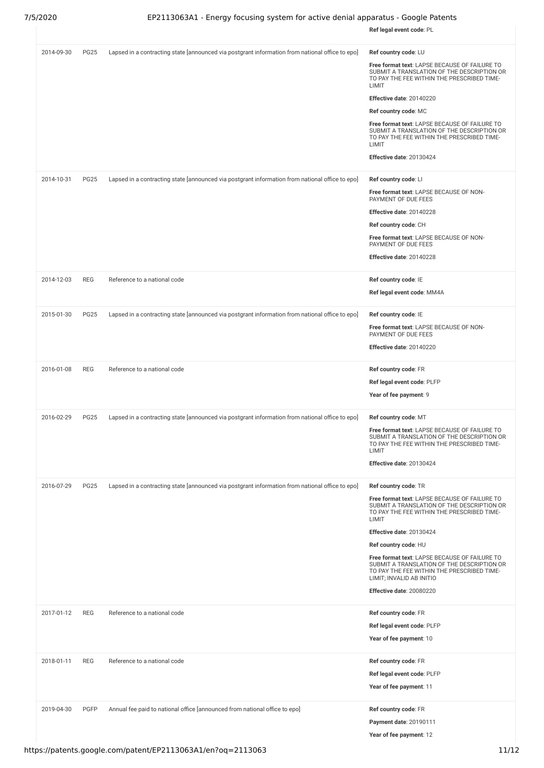|            |             |                                                                                                 | Ref legal event code: PL                                                                                                                                                                                                                                                                                                                                                                                                            |
|------------|-------------|-------------------------------------------------------------------------------------------------|-------------------------------------------------------------------------------------------------------------------------------------------------------------------------------------------------------------------------------------------------------------------------------------------------------------------------------------------------------------------------------------------------------------------------------------|
| 2014-09-30 | <b>PG25</b> | Lapsed in a contracting state [announced via postgrant information from national office to epo] | Ref country code: LU<br>Free format text: LAPSE BECAUSE OF FAILURE TO<br>SUBMIT A TRANSLATION OF THE DESCRIPTION OR<br>TO PAY THE FEE WITHIN THE PRESCRIBED TIME-<br>LIMIT<br>Effective date: 20140220<br>Ref country code: MC<br>Free format text: LAPSE BECAUSE OF FAILURE TO<br>SUBMIT A TRANSLATION OF THE DESCRIPTION OR<br>TO PAY THE FEE WITHIN THE PRESCRIBED TIME-<br>LIMIT<br>Effective date: 20130424                    |
| 2014-10-31 | <b>PG25</b> | Lapsed in a contracting state [announced via postgrant information from national office to epo] | Ref country code: LI<br>Free format text: LAPSE BECAUSE OF NON-<br>PAYMENT OF DUE FEES<br>Effective date: 20140228<br>Ref country code: CH<br>Free format text: LAPSE BECAUSE OF NON-<br>PAYMENT OF DUE FEES<br>Effective date: 20140228                                                                                                                                                                                            |
| 2014-12-03 | <b>REG</b>  | Reference to a national code                                                                    | Ref country code: IE<br>Ref legal event code: MM4A                                                                                                                                                                                                                                                                                                                                                                                  |
| 2015-01-30 | <b>PG25</b> | Lapsed in a contracting state [announced via postgrant information from national office to epo] | Ref country code: IE<br>Free format text: LAPSE BECAUSE OF NON-<br>PAYMENT OF DUE FEES<br>Effective date: 20140220                                                                                                                                                                                                                                                                                                                  |
| 2016-01-08 | <b>REG</b>  | Reference to a national code                                                                    | Ref country code: FR<br>Ref legal event code: PLFP<br>Year of fee payment: 9                                                                                                                                                                                                                                                                                                                                                        |
| 2016-02-29 | <b>PG25</b> | Lapsed in a contracting state [announced via postgrant information from national office to epo] | Ref country code: MT<br>Free format text: LAPSE BECAUSE OF FAILURE TO<br>SUBMIT A TRANSLATION OF THE DESCRIPTION OR<br>TO PAY THE FEE WITHIN THE PRESCRIBED TIME-<br>LIMIT<br>Effective date: 20130424                                                                                                                                                                                                                              |
| 2016-07-29 | <b>PG25</b> | Lapsed in a contracting state [announced via postgrant information from national office to epo] | Ref country code: TR<br>Free format text: LAPSE BECAUSE OF FAILURE TO<br>SUBMIT A TRANSLATION OF THE DESCRIPTION OR<br>TO PAY THE FEE WITHIN THE PRESCRIBED TIME-<br>LIMIT<br>Effective date: 20130424<br>Ref country code: HU<br>Free format text: LAPSE BECAUSE OF FAILURE TO<br>SUBMIT A TRANSLATION OF THE DESCRIPTION OR<br>TO PAY THE FEE WITHIN THE PRESCRIBED TIME-<br>LIMIT; INVALID AB INITIO<br>Effective date: 20080220 |
| 2017-01-12 | <b>REG</b>  | Reference to a national code                                                                    | Ref country code: FR<br>Ref legal event code: PLFP<br>Year of fee payment: 10                                                                                                                                                                                                                                                                                                                                                       |
| 2018-01-11 | <b>REG</b>  | Reference to a national code                                                                    | Ref country code: FR<br>Ref legal event code: PLFP<br>Year of fee payment: 11                                                                                                                                                                                                                                                                                                                                                       |
| 2019-04-30 | <b>PGFP</b> | Annual fee paid to national office [announced from national office to epo]                      | Ref country code: FR<br>Payment date: 20190111<br>Year of fee payment: 12                                                                                                                                                                                                                                                                                                                                                           |